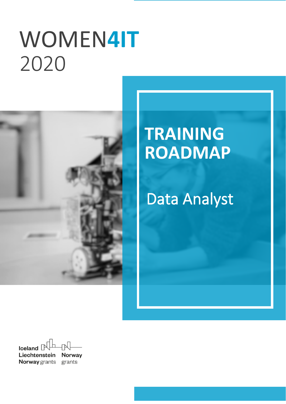# WOMEN4IT 2020



# **TRAINING ROADMAP**

# **Data Analyst**

Iceland  $\Box$ Liechtenstein **Norway Norway** grants grants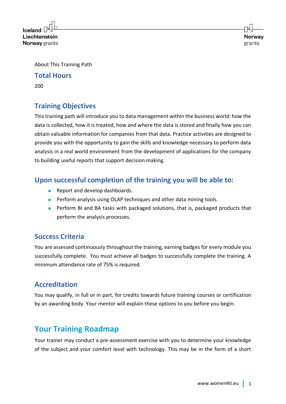**Iceland** Liechtenstein **Norway** grants

About This Training Path

#### **Total Hours**

200

# **Training Objectives**

This training path will introduce you to data management within the business world: how the data is collected, how it is treated, how and where the data is stored and finally how you can obtain valuable information for companies from that data. Practice activities are designed to provide you with the opportunity to gain the skills and knowledge necessary to perform data analysis in a real world environment from the development of applications for the company to building useful reports that support decision making.

# **Upon successful completion of the training you will be able to:**

- Report and develop dashboards.
- Perform analysis using OLAP techniques and other data mining tools.
- Perform BI and BA tasks with packaged solutions, that is, packaged products that perform the analysis processes.

### **Success Criteria**

You are assessed continuously throughout the training, earning badges for every module you successfully complete. You must achieve all badges to successfully complete the training. A minimum attendance rate of 75% is required.

# **Accreditation**

You may qualify, in full or in part, for credits towards future training courses or certification by an awarding body. Your mentor will explain these options to you before you begin.

# **Your Training Roadmap**

Your trainer may conduct a pre-assessment exercise with you to determine your knowledge of the subject and your comfort level with technology. This may be in the form of a short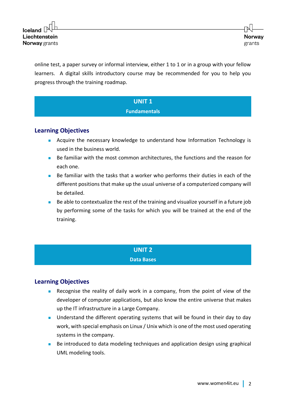online test, a paper survey or informal interview, either 1 to 1 or in a group with your fellow learners. A digital skills introductory course may be recommended for you to help you progress through the training roadmap.

### **UNIT 1 Fundamentals**

#### **Learning Objectives**

- Acquire the necessary knowledge to understand how Information Technology is used in the business world.
- Be familiar with the most common architectures, the functions and the reason for each one.
- Be familiar with the tasks that a worker who performs their duties in each of the different positions that make up the usual universe of a computerized company will be detailed.
- Be able to contextualize the rest of the training and visualize yourself in a future job by performing some of the tasks for which you will be trained at the end of the training.

#### **UNIT 2**

#### **Data Bases**

#### **Learning Objectives**

- Recognise the reality of daily work in a company, from the point of view of the developer of computer applications, but also know the entire universe that makes up the IT infrastructure in a Large Company.
- Understand the different operating systems that will be found in their day to day work, with special emphasis on Linux / Unix which is one of the most used operating systems in the company.
- Be introduced to data modeling techniques and application design using graphical UML modeling tools.